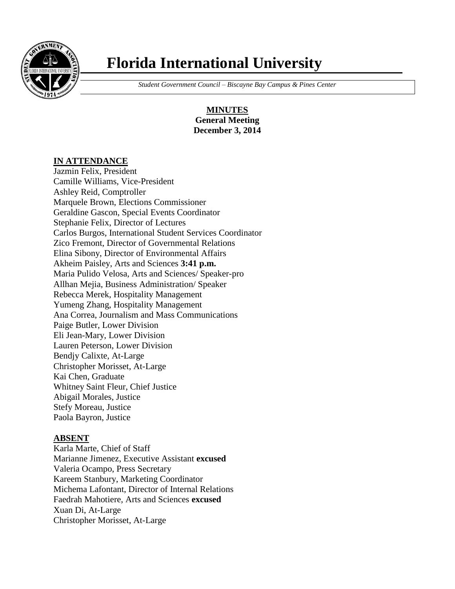

# **Florida International University**

 *Student Government Council – Biscayne Bay Campus & Pines Center*

**MINUTES General Meeting December 3, 2014**

## **IN ATTENDANCE**

Jazmin Felix, President Camille Williams, Vice-President Ashley Reid, Comptroller Marquele Brown, Elections Commissioner Geraldine Gascon, Special Events Coordinator Stephanie Felix, Director of Lectures Carlos Burgos, International Student Services Coordinator Zico Fremont, Director of Governmental Relations Elina Sibony, Director of Environmental Affairs Akheim Paisley, Arts and Sciences **3:41 p.m.** Maria Pulido Velosa, Arts and Sciences/ Speaker-pro Allhan Mejia, Business Administration/ Speaker Rebecca Merek, Hospitality Management Yumeng Zhang, Hospitality Management Ana Correa, Journalism and Mass Communications Paige Butler, Lower Division Eli Jean-Mary, Lower Division Lauren Peterson, Lower Division Bendjy Calixte, At-Large Christopher Morisset, At-Large Kai Chen, Graduate Whitney Saint Fleur, Chief Justice Abigail Morales, Justice Stefy Moreau, Justice Paola Bayron, Justice

#### **ABSENT**

Karla Marte, Chief of Staff Marianne Jimenez, Executive Assistant **excused** Valeria Ocampo, Press Secretary Kareem Stanbury, Marketing Coordinator Michema Lafontant, Director of Internal Relations Faedrah Mahotiere, Arts and Sciences **excused** Xuan Di, At-Large Christopher Morisset, At-Large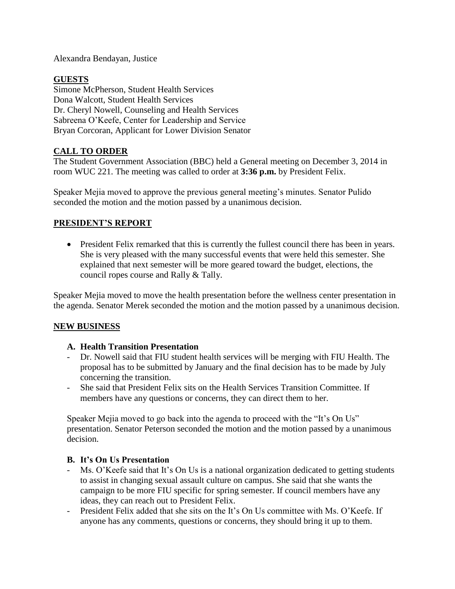Alexandra Bendayan, Justice

### **GUESTS**

Simone McPherson, Student Health Services Dona Walcott, Student Health Services Dr. Cheryl Nowell, Counseling and Health Services Sabreena O'Keefe, Center for Leadership and Service Bryan Corcoran, Applicant for Lower Division Senator

## **CALL TO ORDER**

The Student Government Association (BBC) held a General meeting on December 3, 2014 in room WUC 221. The meeting was called to order at **3:36 p.m.** by President Felix.

Speaker Mejia moved to approve the previous general meeting's minutes. Senator Pulido seconded the motion and the motion passed by a unanimous decision.

## **PRESIDENT'S REPORT**

• President Felix remarked that this is currently the fullest council there has been in years. She is very pleased with the many successful events that were held this semester. She explained that next semester will be more geared toward the budget, elections, the council ropes course and Rally & Tally.

Speaker Mejia moved to move the health presentation before the wellness center presentation in the agenda. Senator Merek seconded the motion and the motion passed by a unanimous decision.

#### **NEW BUSINESS**

#### **A. Health Transition Presentation**

- Dr. Nowell said that FIU student health services will be merging with FIU Health. The proposal has to be submitted by January and the final decision has to be made by July concerning the transition.
- She said that President Felix sits on the Health Services Transition Committee. If members have any questions or concerns, they can direct them to her.

Speaker Mejia moved to go back into the agenda to proceed with the "It's On Us" presentation. Senator Peterson seconded the motion and the motion passed by a unanimous decision.

#### **B. It's On Us Presentation**

- Ms. O'Keefe said that It's On Us is a national organization dedicated to getting students to assist in changing sexual assault culture on campus. She said that she wants the campaign to be more FIU specific for spring semester. If council members have any ideas, they can reach out to President Felix.
- President Felix added that she sits on the It's On Us committee with Ms. O'Keefe. If anyone has any comments, questions or concerns, they should bring it up to them.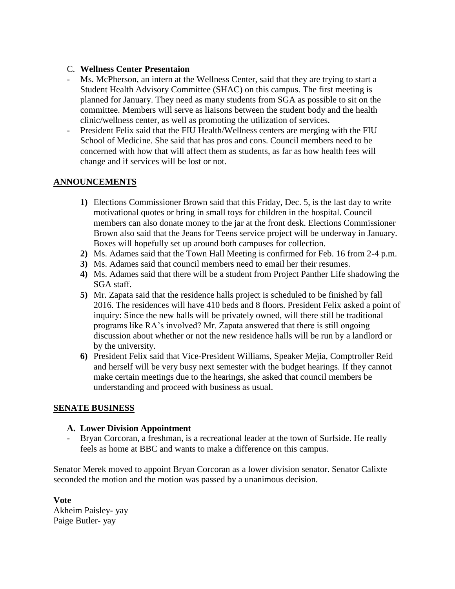#### C. **Wellness Center Presentaion**

- Ms. McPherson, an intern at the Wellness Center, said that they are trying to start a Student Health Advisory Committee (SHAC) on this campus. The first meeting is planned for January. They need as many students from SGA as possible to sit on the committee. Members will serve as liaisons between the student body and the health clinic/wellness center, as well as promoting the utilization of services.
- President Felix said that the FIU Health/Wellness centers are merging with the FIU School of Medicine. She said that has pros and cons. Council members need to be concerned with how that will affect them as students, as far as how health fees will change and if services will be lost or not.

#### **ANNOUNCEMENTS**

- **1)** Elections Commissioner Brown said that this Friday, Dec. 5, is the last day to write motivational quotes or bring in small toys for children in the hospital. Council members can also donate money to the jar at the front desk. Elections Commissioner Brown also said that the Jeans for Teens service project will be underway in January. Boxes will hopefully set up around both campuses for collection.
- **2)** Ms. Adames said that the Town Hall Meeting is confirmed for Feb. 16 from 2-4 p.m.
- **3)** Ms. Adames said that council members need to email her their resumes.
- **4)** Ms. Adames said that there will be a student from Project Panther Life shadowing the SGA staff.
- **5)** Mr. Zapata said that the residence halls project is scheduled to be finished by fall 2016. The residences will have 410 beds and 8 floors. President Felix asked a point of inquiry: Since the new halls will be privately owned, will there still be traditional programs like RA's involved? Mr. Zapata answered that there is still ongoing discussion about whether or not the new residence halls will be run by a landlord or by the university.
- **6)** President Felix said that Vice-President Williams, Speaker Mejia, Comptroller Reid and herself will be very busy next semester with the budget hearings. If they cannot make certain meetings due to the hearings, she asked that council members be understanding and proceed with business as usual.

#### **SENATE BUSINESS**

#### **A. Lower Division Appointment**

Bryan Corcoran, a freshman, is a recreational leader at the town of Surfside. He really feels as home at BBC and wants to make a difference on this campus.

Senator Merek moved to appoint Bryan Corcoran as a lower division senator. Senator Calixte seconded the motion and the motion was passed by a unanimous decision.

**Vote** Akheim Paisley- yay Paige Butler- yay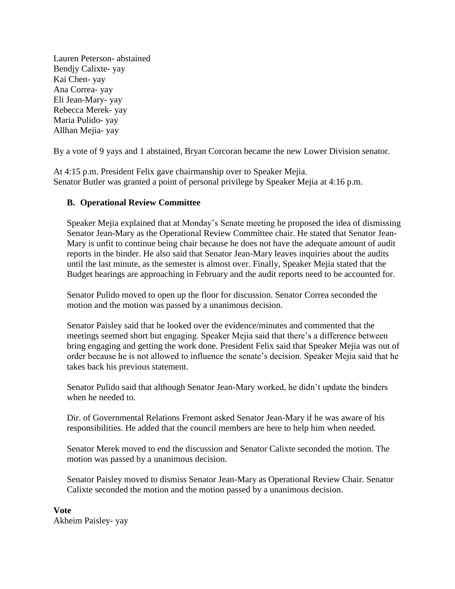Lauren Peterson- abstained Bendjy Calixte- yay Kai Chen- yay Ana Correa- yay Eli Jean-Mary- yay Rebecca Merek- yay Maria Pulido- yay Allhan Mejia- yay

By a vote of 9 yays and 1 abstained, Bryan Corcoran became the new Lower Division senator.

At 4:15 p.m. President Felix gave chairmanship over to Speaker Mejia. Senator Butler was granted a point of personal privilege by Speaker Mejia at 4:16 p.m.

#### **B. Operational Review Committee**

Speaker Mejia explained that at Monday's Senate meeting he proposed the idea of dismissing Senator Jean-Mary as the Operational Review Committee chair. He stated that Senator Jean-Mary is unfit to continue being chair because he does not have the adequate amount of audit reports in the binder. He also said that Senator Jean-Mary leaves inquiries about the audits until the last minute, as the semester is almost over. Finally, Speaker Mejia stated that the Budget hearings are approaching in February and the audit reports need to be accounted for.

Senator Pulido moved to open up the floor for discussion. Senator Correa seconded the motion and the motion was passed by a unanimous decision.

Senator Paisley said that he looked over the evidence/minutes and commented that the meetings seemed short but engaging. Speaker Mejia said that there's a difference between bring engaging and getting the work done. President Felix said that Speaker Mejia was out of order because he is not allowed to influence the senate's decision. Speaker Mejia said that he takes back his previous statement.

Senator Pulido said that although Senator Jean-Mary worked, he didn't update the binders when he needed to.

Dir. of Governmental Relations Fremont asked Senator Jean-Mary if he was aware of his responsibilities. He added that the council members are here to help him when needed.

Senator Merek moved to end the discussion and Senator Calixte seconded the motion. The motion was passed by a unanimous decision.

Senator Paisley moved to dismiss Senator Jean-Mary as Operational Review Chair. Senator Calixte seconded the motion and the motion passed by a unanimous decision.

**Vote** Akheim Paisley- yay